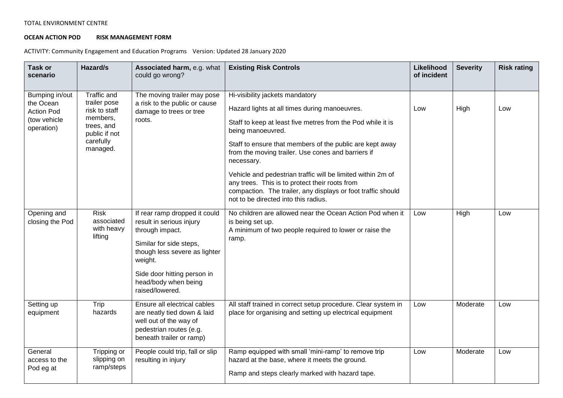## TOTAL ENVIRONMENT CENTRE

## **OCEAN ACTION POD RISK MANAGEMENT FORM**

ACTIVITY: Community Engagement and Education Programs Version: Updated 28 January 2020

| Task or<br>scenario                                                            | Hazard/s                                                                                                                | Associated harm, e.g. what<br>could go wrong?                                                                                                                                                                                 | <b>Existing Risk Controls</b>                                                                                                                                                                                                                                                                                                                                                                                                                                                                                                 | Likelihood<br>of incident | <b>Severity</b> | <b>Risk rating</b> |
|--------------------------------------------------------------------------------|-------------------------------------------------------------------------------------------------------------------------|-------------------------------------------------------------------------------------------------------------------------------------------------------------------------------------------------------------------------------|-------------------------------------------------------------------------------------------------------------------------------------------------------------------------------------------------------------------------------------------------------------------------------------------------------------------------------------------------------------------------------------------------------------------------------------------------------------------------------------------------------------------------------|---------------------------|-----------------|--------------------|
| Bumping in/out<br>the Ocean<br><b>Action Pod</b><br>(tow vehicle<br>operation) | <b>Traffic and</b><br>trailer pose<br>risk to staff<br>members,<br>trees, and<br>public if not<br>carefully<br>managed. | The moving trailer may pose<br>a risk to the public or cause<br>damage to trees or tree<br>roots.                                                                                                                             | Hi-visibility jackets mandatory<br>Hazard lights at all times during manoeuvres.<br>Staff to keep at least five metres from the Pod while it is<br>being manoeuvred.<br>Staff to ensure that members of the public are kept away<br>from the moving trailer. Use cones and barriers if<br>necessary.<br>Vehicle and pedestrian traffic will be limited within 2m of<br>any trees. This is to protect their roots from<br>compaction. The trailer, any displays or foot traffic should<br>not to be directed into this radius. | Low                       | High            | Low                |
| Opening and<br>closing the Pod                                                 | <b>Risk</b><br>associated<br>with heavy<br>lifting                                                                      | If rear ramp dropped it could<br>result in serious injury<br>through impact.<br>Similar for side steps,<br>though less severe as lighter<br>weight.<br>Side door hitting person in<br>head/body when being<br>raised/lowered. | No children are allowed near the Ocean Action Pod when it<br>is being set up.<br>A minimum of two people required to lower or raise the<br>ramp.                                                                                                                                                                                                                                                                                                                                                                              | Low                       | High            | Low                |
| Setting up<br>equipment                                                        | Trip<br>hazards                                                                                                         | Ensure all electrical cables<br>are neatly tied down & laid<br>well out of the way of<br>pedestrian routes (e.g.<br>beneath trailer or ramp)                                                                                  | All staff trained in correct setup procedure. Clear system in<br>place for organising and setting up electrical equipment                                                                                                                                                                                                                                                                                                                                                                                                     | Low                       | Moderate        | Low                |
| General<br>access to the<br>Pod eg at                                          | Tripping or<br>slipping on<br>ramp/steps                                                                                | People could trip, fall or slip<br>resulting in injury                                                                                                                                                                        | Ramp equipped with small 'mini-ramp' to remove trip<br>hazard at the base, where it meets the ground.<br>Ramp and steps clearly marked with hazard tape.                                                                                                                                                                                                                                                                                                                                                                      | Low                       | Moderate        | Low                |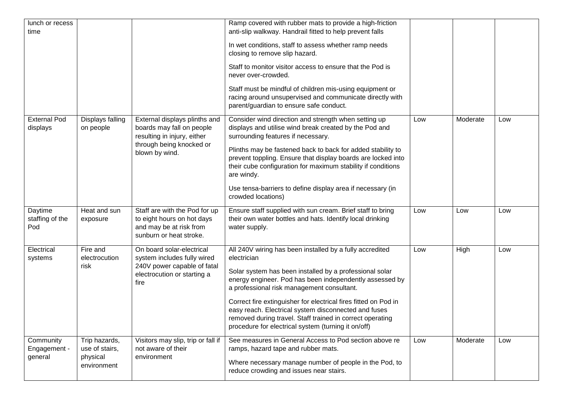| lunch or recess<br>time              |                                                            |                                                                                                                                         | Ramp covered with rubber mats to provide a high-friction<br>anti-slip walkway. Handrail fitted to help prevent falls<br>In wet conditions, staff to assess whether ramp needs                                                                                                                                                                                                                                                                                                              |     |          |     |
|--------------------------------------|------------------------------------------------------------|-----------------------------------------------------------------------------------------------------------------------------------------|--------------------------------------------------------------------------------------------------------------------------------------------------------------------------------------------------------------------------------------------------------------------------------------------------------------------------------------------------------------------------------------------------------------------------------------------------------------------------------------------|-----|----------|-----|
|                                      |                                                            |                                                                                                                                         | closing to remove slip hazard.<br>Staff to monitor visitor access to ensure that the Pod is<br>never over-crowded.                                                                                                                                                                                                                                                                                                                                                                         |     |          |     |
|                                      |                                                            |                                                                                                                                         | Staff must be mindful of children mis-using equipment or<br>racing around unsupervised and communicate directly with<br>parent/guardian to ensure safe conduct.                                                                                                                                                                                                                                                                                                                            |     |          |     |
| <b>External Pod</b><br>displays      | Displays falling<br>on people                              | External displays plinths and<br>boards may fall on people<br>resulting in injury, either<br>through being knocked or<br>blown by wind. | Consider wind direction and strength when setting up<br>displays and utilise wind break created by the Pod and<br>surrounding features if necessary.                                                                                                                                                                                                                                                                                                                                       | Low | Moderate | Low |
|                                      |                                                            |                                                                                                                                         | Plinths may be fastened back to back for added stability to<br>prevent toppling. Ensure that display boards are locked into<br>their cube configuration for maximum stability if conditions<br>are windy.                                                                                                                                                                                                                                                                                  |     |          |     |
|                                      |                                                            |                                                                                                                                         | Use tensa-barriers to define display area if necessary (in<br>crowded locations)                                                                                                                                                                                                                                                                                                                                                                                                           |     |          |     |
| Daytime<br>staffing of the<br>Pod    | Heat and sun<br>exposure                                   | Staff are with the Pod for up<br>to eight hours on hot days<br>and may be at risk from<br>sunburn or heat stroke.                       | Ensure staff supplied with sun cream. Brief staff to bring<br>their own water bottles and hats. Identify local drinking<br>water supply.                                                                                                                                                                                                                                                                                                                                                   | Low | Low      | Low |
| Electrical<br>systems                | Fire and<br>electrocution<br>risk                          | On board solar-electrical<br>system includes fully wired<br>240V power capable of fatal<br>electrocution or starting a<br>fire          | All 240V wiring has been installed by a fully accredited<br>electrician<br>Solar system has been installed by a professional solar<br>energy engineer. Pod has been independently assessed by<br>a professional risk management consultant.<br>Correct fire extinguisher for electrical fires fitted on Pod in<br>easy reach. Electrical system disconnected and fuses<br>removed during travel. Staff trained in correct operating<br>procedure for electrical system (turning it on/off) | Low | High     | Low |
| Community<br>Engagement -<br>general | Trip hazards,<br>use of stairs,<br>physical<br>environment | Visitors may slip, trip or fall if<br>not aware of their<br>environment                                                                 | See measures in General Access to Pod section above re<br>ramps, hazard tape and rubber mats.<br>Where necessary manage number of people in the Pod, to<br>reduce crowding and issues near stairs.                                                                                                                                                                                                                                                                                         | Low | Moderate | Low |